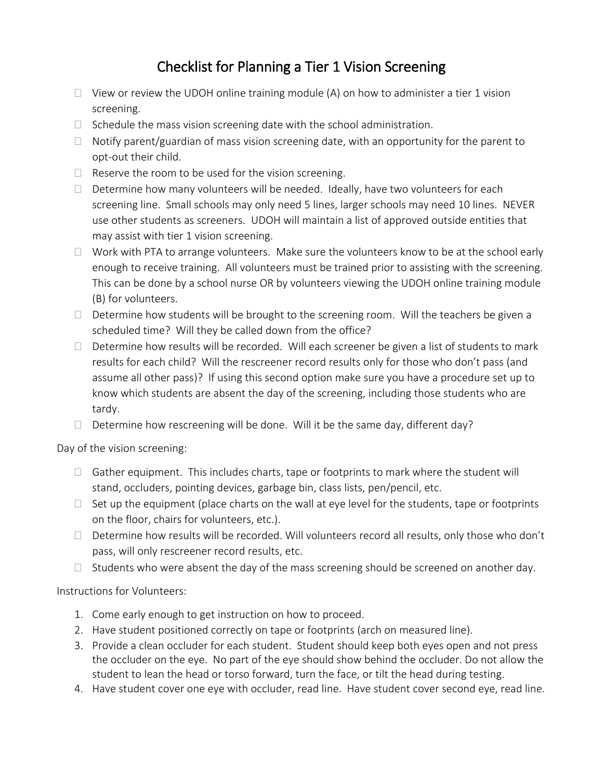## Checklist for Planning a Tier 1 Vision Screening

- $\Box$  View or review the UDOH online training module (A) on how to administer a tier 1 vision screening.
- $\Box$  Schedule the mass vision screening date with the school administration.
- $\Box$  Notify parent/guardian of mass vision screening date, with an opportunity for the parent to opt-out their child.
- $\Box$  Reserve the room to be used for the vision screening.
- $\Box$  Determine how many volunteers will be needed. Ideally, have two volunteers for each screening line. Small schools may only need 5 lines, larger schools may need 10 lines. NEVER use other students as screeners. UDOH will maintain a list of approved outside entities that may assist with tier 1 vision screening.
- $\Box$  Work with PTA to arrange volunteers. Make sure the volunteers know to be at the school early enough to receive training. All volunteers must be trained prior to assisting with the screening. This can be done by a school nurse OR by volunteers viewing the UDOH online training module (B) for volunteers.
- $\Box$  Determine how students will be brought to the screening room. Will the teachers be given a scheduled time? Will they be called down from the office?
- $\Box$  Determine how results will be recorded. Will each screener be given a list of students to mark results for each child? Will the rescreener record results only for those who don't pass (and assume all other pass)? If using this second option make sure you have a procedure set up to know which students are absent the day of the screening, including those students who are tardy.
- $\Box$  Determine how rescreening will be done. Will it be the same day, different day?

Day of the vision screening:

- $\Box$  Gather equipment. This includes charts, tape or footprints to mark where the student will stand, occluders, pointing devices, garbage bin, class lists, pen/pencil, etc.
- $\Box$  Set up the equipment (place charts on the wall at eye level for the students, tape or footprints on the floor, chairs for volunteers, etc.).
- $\Box$  Determine how results will be recorded. Will volunteers record all results, only those who don't pass, will only rescreener record results, etc.
- $\Box$  Students who were absent the day of the mass screening should be screened on another day.

Instructions for Volunteers:

- 1. Come early enough to get instruction on how to proceed.
- 2. Have student positioned correctly on tape or footprints (arch on measured line).
- 3. Provide a clean occluder for each student. Student should keep both eyes open and not press the occluder on the eye. No part of the eye should show behind the occluder. Do not allow the student to lean the head or torso forward, turn the face, or tilt the head during testing.
- 4. Have student cover one eye with occluder, read line. Have student cover second eye, read line.